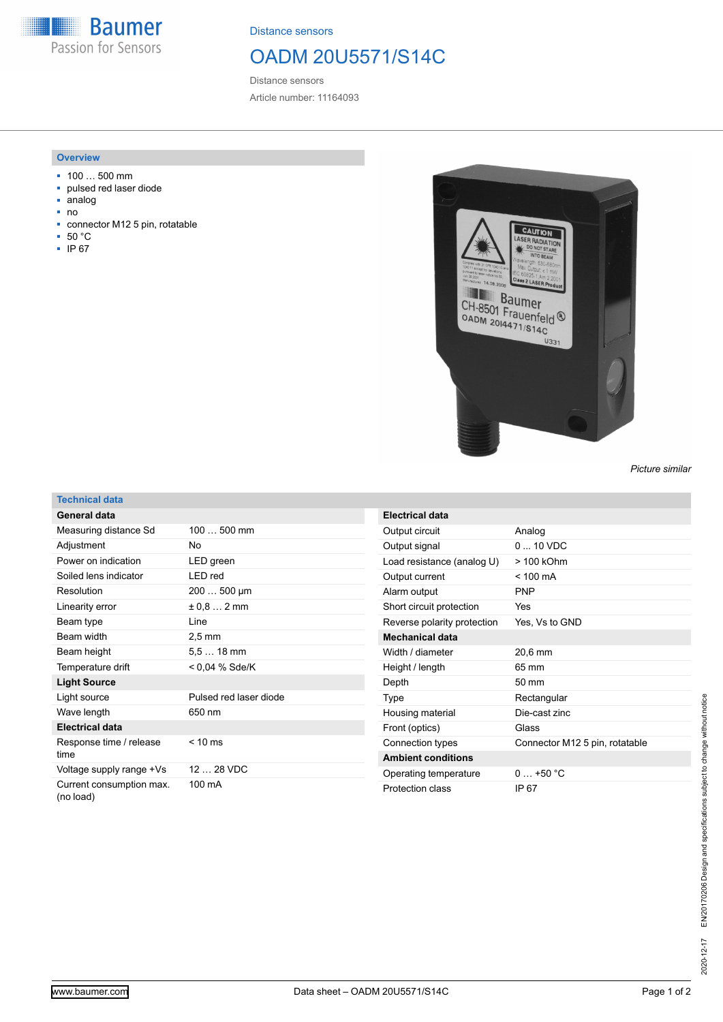**Baumer** Passion for Sensors

Distance sensors

## OADM 20U5571/S14C

Distance sensors Article number: 11164093

## **Overview**

- 100 … 500 mm
- pulsed red laser diode
- analog
- no
- connector M12 5 pin, rotatable
- 50 °C
- IP 67



*Picture similar*

## **Technical data**

| General data                          |                        |
|---------------------------------------|------------------------|
| Measuring distance Sd                 | $100500$ mm            |
| Adjustment                            | No                     |
| Power on indication                   | LED green              |
| Soiled lens indicator                 | LED red                |
| Resolution                            | $200500 \mu m$         |
| Linearity error                       | $± 0.8$ 2 mm           |
| Beam type                             | I ine                  |
| Beam width                            | $2.5 \text{ mm}$       |
| Beam height                           | $5.518$ mm             |
| Temperature drift                     | < 0.04 % Sde/K         |
| <b>Light Source</b>                   |                        |
| Light source                          | Pulsed red laser diode |
| Wave length                           | 650 nm                 |
| <b>Electrical data</b>                |                        |
| Response time / release<br>time       | $< 10$ ms              |
| Voltage supply range +Vs              | 12  28 VDC             |
| Current consumption max.<br>(no load) | 100 mA                 |

| Electrical data             |                                |
|-----------------------------|--------------------------------|
| Output circuit              | Analog                         |
| Output signal               | $0.10$ VDC                     |
| Load resistance (analog U)  | $>100$ kOhm                    |
| Output current              | $< 100 \text{ mA}$             |
| Alarm output                | <b>PNP</b>                     |
| Short circuit protection    | Yes                            |
| Reverse polarity protection | Yes, Vs to GND                 |
| <b>Mechanical data</b>      |                                |
| Width / diameter            | 20,6 mm                        |
| Height / length             | 65 mm                          |
| Depth                       | $50 \text{ mm}$                |
| Type                        | Rectangular                    |
| Housing material            | Die-cast zinc                  |
| Front (optics)              | Glass                          |
| Connection types            | Connector M12 5 pin, rotatable |
| <b>Ambient conditions</b>   |                                |
| Operating temperature       | $0 + 50 °C$                    |
| Protection class            | IP 67                          |